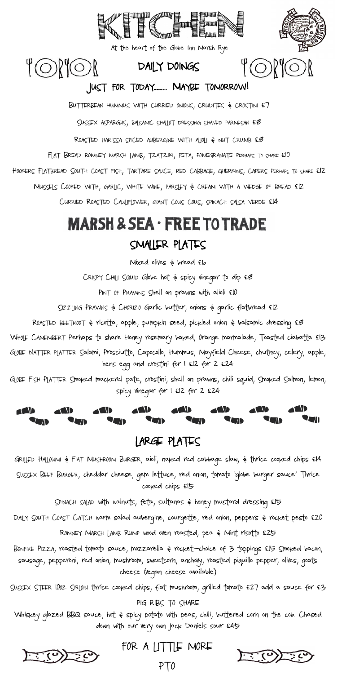CRISPY CHILI SQUID Globe hot & spicy vinegar to dip £8

PINT OF PRAWNS Shell on prawns with alioli £10

SIZZLING PRAWNS & CHORIZO Garlic butter, onions & garlic flatbread £12

ROASTED BEETROOT & ricotta, apple, pumpkin seed, pickled onion & balsamic dressing £8

WHOLE CAMEMBERT Perhaps to share Honey rosemary baked, Orange marmalade, Toasted ciabatta £13

GLOBE NATTER PLATTER Salami, Prosciutto, Capocollo, Hummus, Mayfield Cheese, chutney, celery, apple, hens egg and crostini for 1 £12 for 2 £24

GLOBE FISH PLATTER Smoked mackerel pate, crostini, shell on prawns, chili squid, Smoked Salmon, lemon, spicy vinegar for 1 £12 for 2 £24

#### LARGE PLATES

GRILLED HALLOUMI & FIAT MUSHROOM BURGER, aioli, naked red cabbage slaw, & thrice cooked chips £14 SUSSEX BEEF BURGER, cheddar cheese, gem lettuce, red onion, tomato 'globe burger sauce' Thrice cooked chips £15

SPINACH SALAD with walnuts, feta, sultanas & honey mustard dressing £15

DAILY SOUTH COAST CATCH warm salad aubergine, courgette, red onion, peppers & rocket pesto £20

ROMNEY MARSH LAMB RUMP wood oven roasted, pea & Mint risotto £25

BONFIRE PIZZA, roasted tomato sauce, mozzarella & rocket—choice of 3 toppings £15 Smoked bacon, sausage, pepperoni, red onion, mushroom, sweetcorn, anchovy, roasted piquillo pepper, olives, goats cheese (vegan cheese available)

SUSSEX STEER 10OZ SIRLOIN thrice cooked chips, flat mushroom, grilled tomato £27 add a sauce for £3

PIG RIBS TO SHARE

Whiskey glazed BBQ sauce, hot & spicy potato with peas, chili, buttered corn on the cob. Chased down with our very own Jack Daniels sour £45

FOR A LITTLE MORE

DAILY DOINGS

# $\mathfrak{A}(\bigcirc)$

#### JUST FOR TODAY…….. MAYBE TOMORROW!

4 ORIOR

BUTTERBEAN HUMMUS WITH CURRIED ONIONS, CRUDITES & CROSTINI £7

SUSSEX ASPARGUS, BALSANIC SHALLOT DRESSING SHAVED PARNESAN £8

ROASTED HARISSA SPICED AUBERGINE WITH ALIOLI & NUT CRUMB £8

FLAT BREAD ROMNEY MARSH LAMB, TZATZIKI, FETA, POMEGRANATE PERHAPS TO SHARE £10

HOOKERS FLATBREAD SOUTH COAST FISH, TARTARE SAUCE, RED CABBAGE, GHERKINS, CAPERS PERHAPS TO SHARE £12

MUSSELS COOKED WITH, GARLIC, WHITE WINE, PARSLEY & CREAM WITH A WEDGE OF BREAD £12

CURRIED ROASTED CAULIFLOWER, GIANT COUS COUS, SPINACH SALSA VERDE £14

## **MARSH & SEA · FREE TO TRADE** SMALLER PLATES

Mixed olives  $\epsilon$  bread  $\epsilon$ b

PTO







At the heart of the Globe Inn Marsh Rye